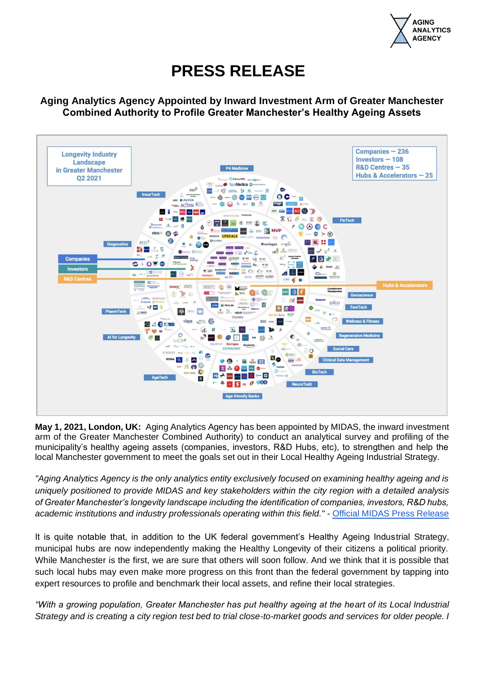

## **PRESS RELEASE**

**Aging Analytics Agency Appointed by Inward Investment Arm of Greater Manchester Combined Authority to Profile Greater Manchester's Healthy Ageing Assets** 



**May 1, 2021, London, UK:** Aging Analytics Agency has been appointed by MIDAS, the inward investment arm of the Greater Manchester Combined Authority) to conduct an analytical survey and profiling of the municipality's healthy ageing assets (companies, investors, R&D Hubs, etc), to strengthen and help the local Manchester government to meet the goals set out in their Local Healthy Ageing Industrial Strategy.

*"Aging Analytics Agency is the only analytics entity exclusively focused on examining healthy ageing and is uniquely positioned to provide MIDAS and key stakeholders within the city region with a detailed analysis of Greater Manchester's longevity landscape including the identification of companies, investors, R&D hubs, academic institutions and industry professionals operating within this field."* - [Official MIDAS Press Release](https://www.investinmanchester.com/media-and-events/industry-news/2021/3/3/midas-appoints-specialist-agency-to-profile-greater-manchester-s-healthy-ageing-assets-a2865)

It is quite notable that, in addition to the UK federal government's Healthy Ageing Industrial Strategy, municipal hubs are now independently making the Healthy Longevity of their citizens a political priority. While Manchester is the first, we are sure that others will soon follow. And we think that it is possible that such local hubs may even make more progress on this front than the federal government by tapping into expert resources to profile and benchmark their local assets, and refine their local strategies.

*"With a growing population, Greater Manchester has put healthy ageing at the heart of its Local Industrial Strategy and is creating a city region test bed to trial close-to-market goods and services for older people. I*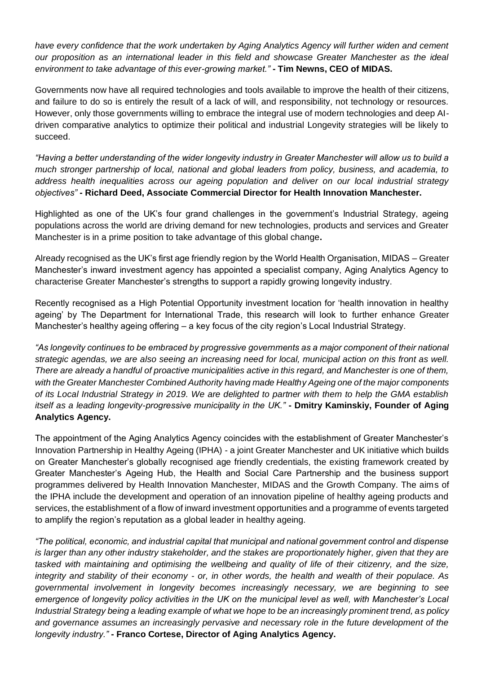*have every confidence that the work undertaken by Aging Analytics Agency will further widen and cement our proposition as an international leader in this field and showcase Greater Manchester as the ideal environment to take advantage of this ever-growing market."* **- Tim Newns, CEO of MIDAS.**

Governments now have all required technologies and tools available to improve the health of their citizens, and failure to do so is entirely the result of a lack of will, and responsibility, not technology or resources. However, only those governments willing to embrace the integral use of modern technologies and deep AIdriven comparative analytics to optimize their political and industrial Longevity strategies will be likely to succeed.

*"Having a better understanding of the wider longevity industry in Greater Manchester will allow us to build a much stronger partnership of local, national and global leaders from policy, business, and academia, to address health inequalities across our ageing population and deliver on our local industrial strategy objectives"* **- Richard Deed, Associate Commercial Director for Health Innovation Manchester.**

Highlighted as one of the UK's four grand challenges in the government's Industrial Strategy, ageing populations across the world are driving demand for new technologies, products and services and Greater Manchester is in a prime position to take advantage of this global change**.** 

Already recognised as the UK's first age friendly region by the World Health Organisation, MIDAS – Greater Manchester's inward investment agency has appointed a specialist company, Aging Analytics Agency to characterise Greater Manchester's strengths to support a rapidly growing longevity industry.

Recently recognised as a High Potential Opportunity investment location for 'health innovation in healthy ageing' by The Department for International Trade, this research will look to further enhance Greater Manchester's healthy ageing offering – a key focus of the city region's Local Industrial Strategy.

*"As longevity continues to be embraced by progressive governments as a major component of their national strategic agendas, we are also seeing an increasing need for local, municipal action on this front as well. There are already a handful of proactive municipalities active in this regard, and Manchester is one of them, with the Greater Manchester Combined Authority having made Healthy Ageing one of the major components of its Local Industrial Strategy in 2019. We are delighted to partner with them to help the GMA establish itself as a leading longevity-progressive municipality in the UK."* **- Dmitry Kaminskiy, Founder of Aging Analytics Agency.**

The appointment of the Aging Analytics Agency coincides with the establishment of Greater Manchester's Innovation Partnership in Healthy Ageing (IPHA) - a joint Greater Manchester and UK initiative which builds on Greater Manchester's globally recognised age friendly credentials, the existing framework created by Greater Manchester's Ageing Hub, the Health and Social Care Partnership and the business support programmes delivered by Health Innovation Manchester, MIDAS and the Growth Company. The aims of the IPHA include the development and operation of an innovation pipeline of healthy ageing products and services, the establishment of a flow of inward investment opportunities and a programme of events targeted to amplify the region's reputation as a global leader in healthy ageing.

*"The political, economic, and industrial capital that municipal and national government control and dispense is larger than any other industry stakeholder, and the stakes are proportionately higher, given that they are tasked with maintaining and optimising the wellbeing and quality of life of their citizenry, and the size, integrity and stability of their economy - or, in other words, the health and wealth of their populace. As governmental involvement in longevity becomes increasingly necessary, we are beginning to see emergence of longevity policy activities in the UK on the municipal level as well, with Manchester's Local Industrial Strategy being a leading example of what we hope to be an increasingly prominent trend, as policy and governance assumes an increasingly pervasive and necessary role in the future development of the longevity industry."* **- Franco Cortese, Director of Aging Analytics Agency.**